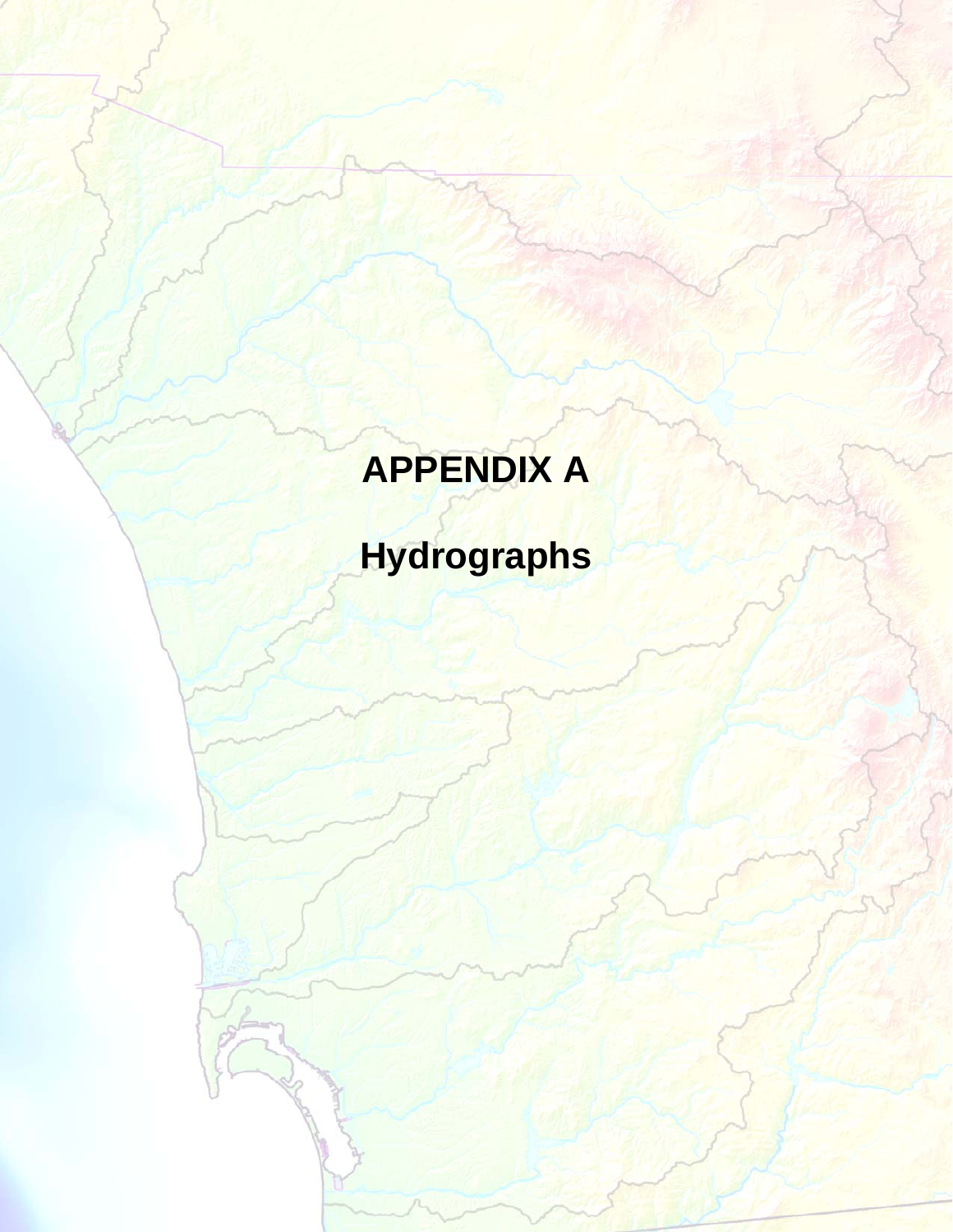# **APPENDIX A**

# **Hydrographs**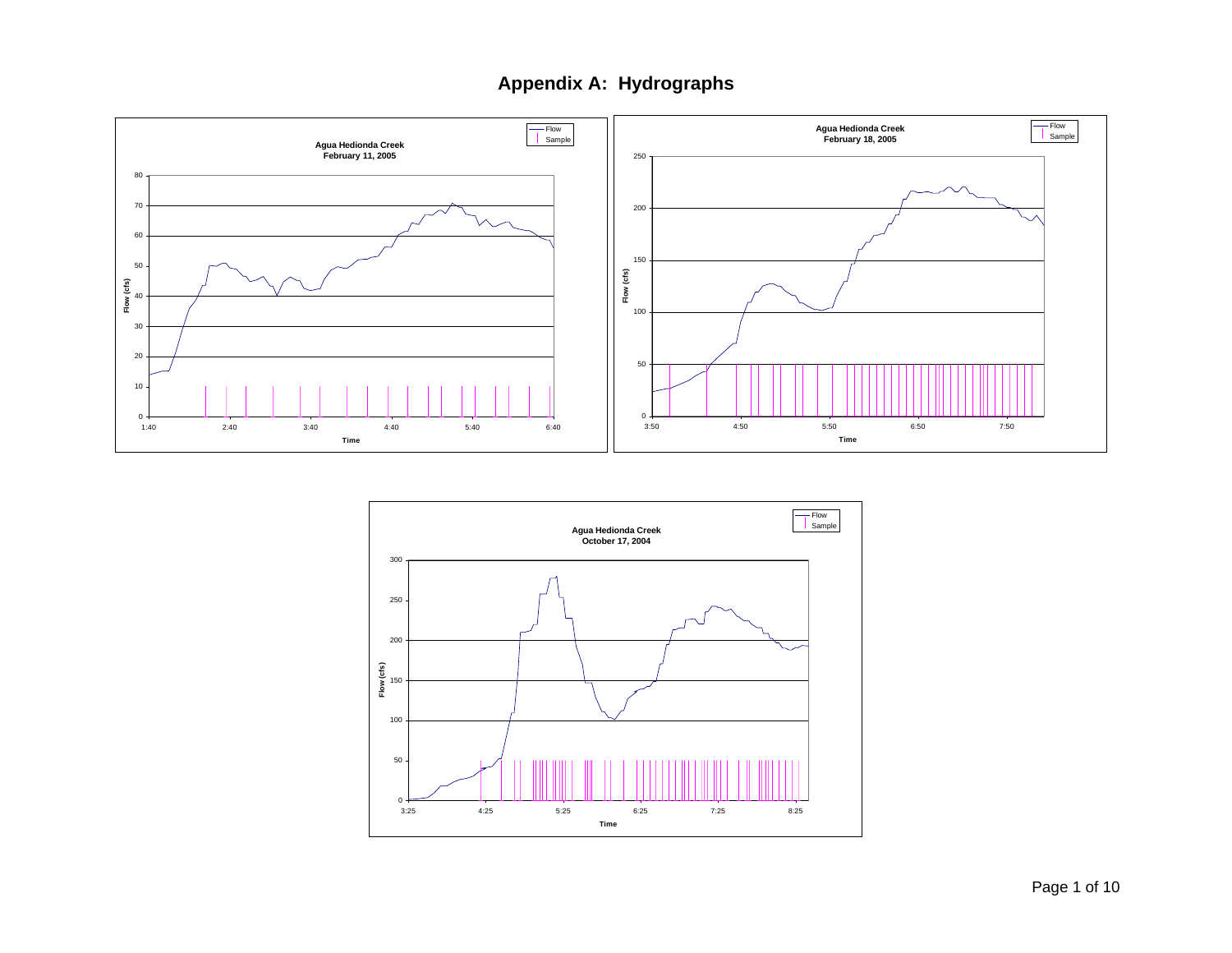

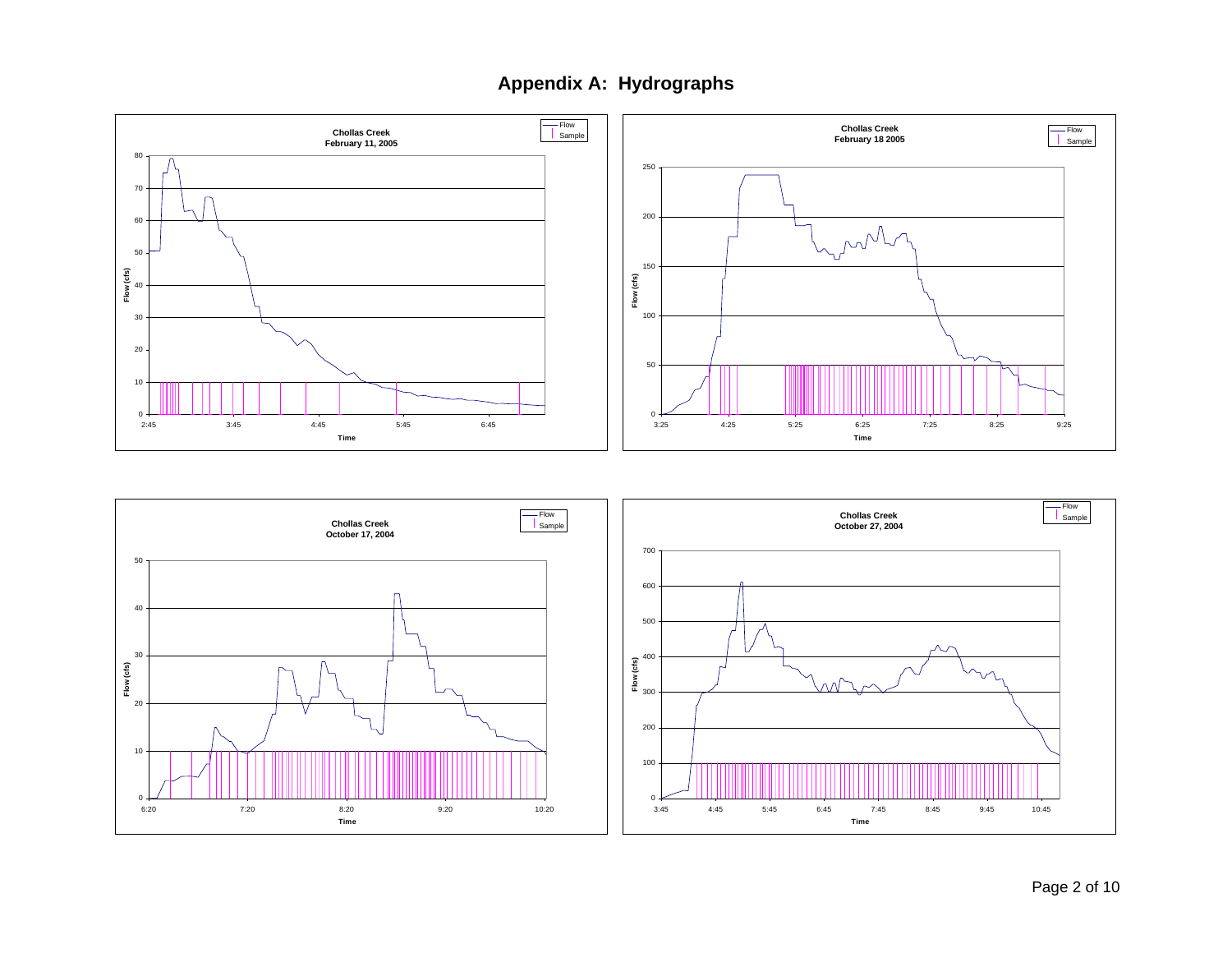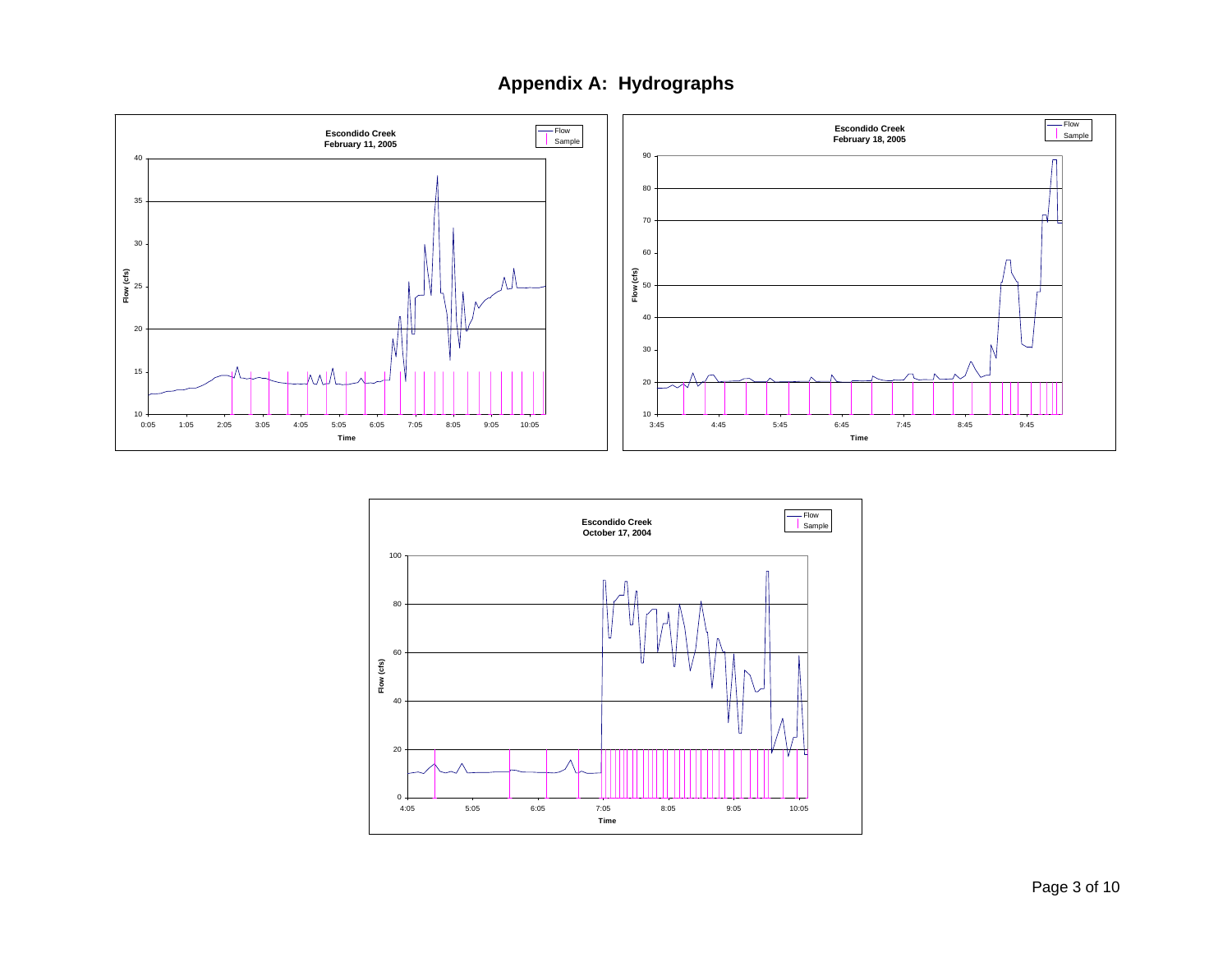

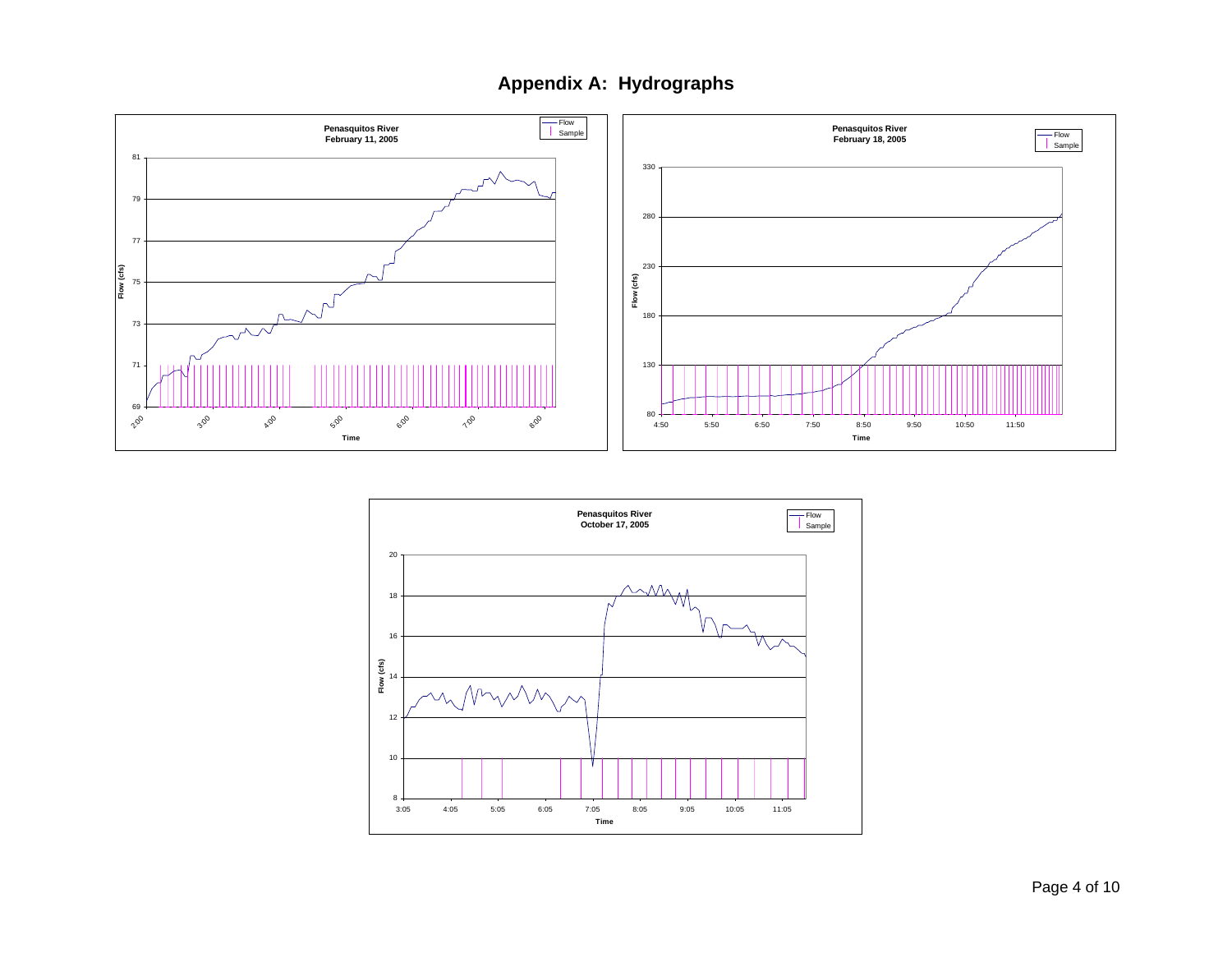

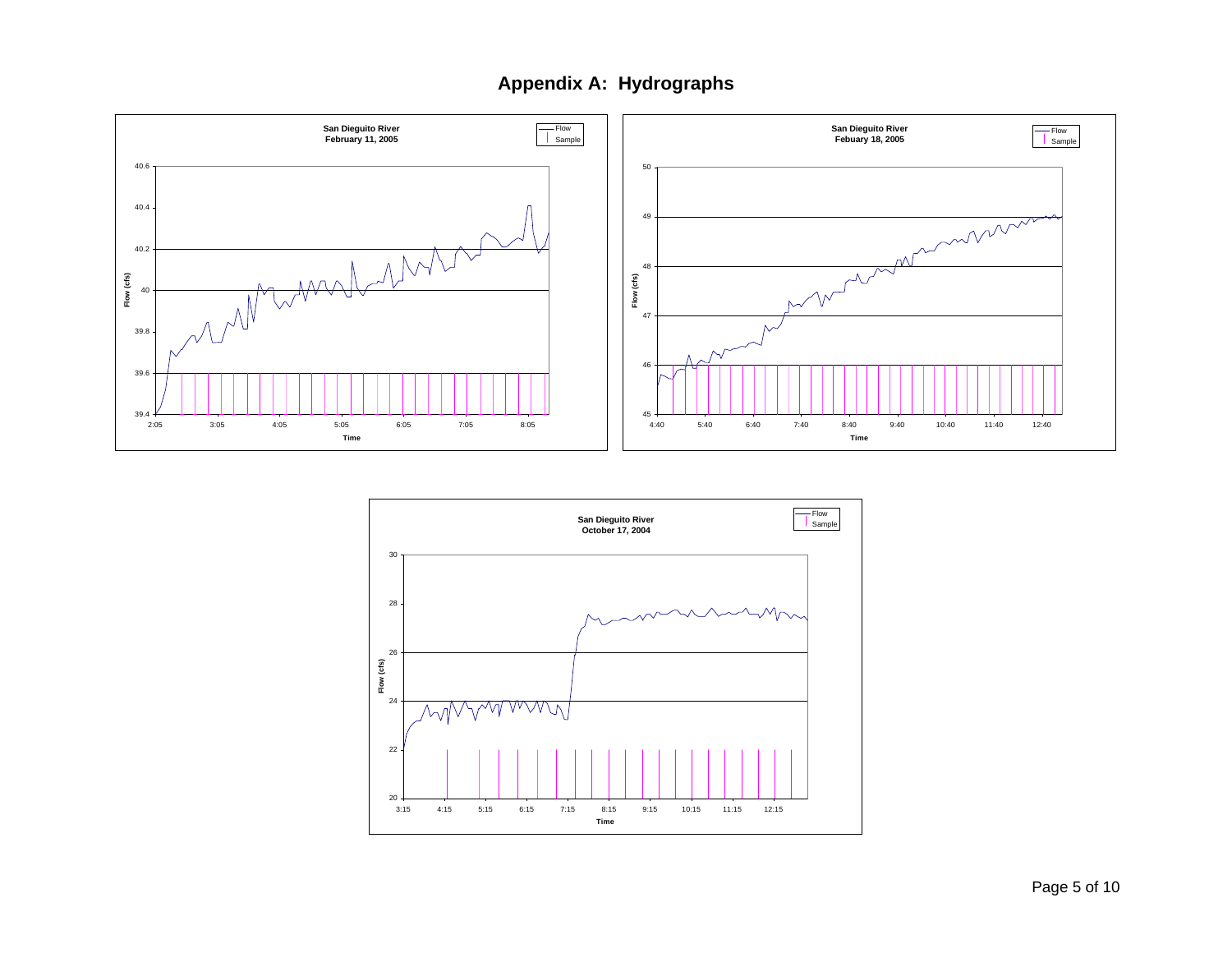

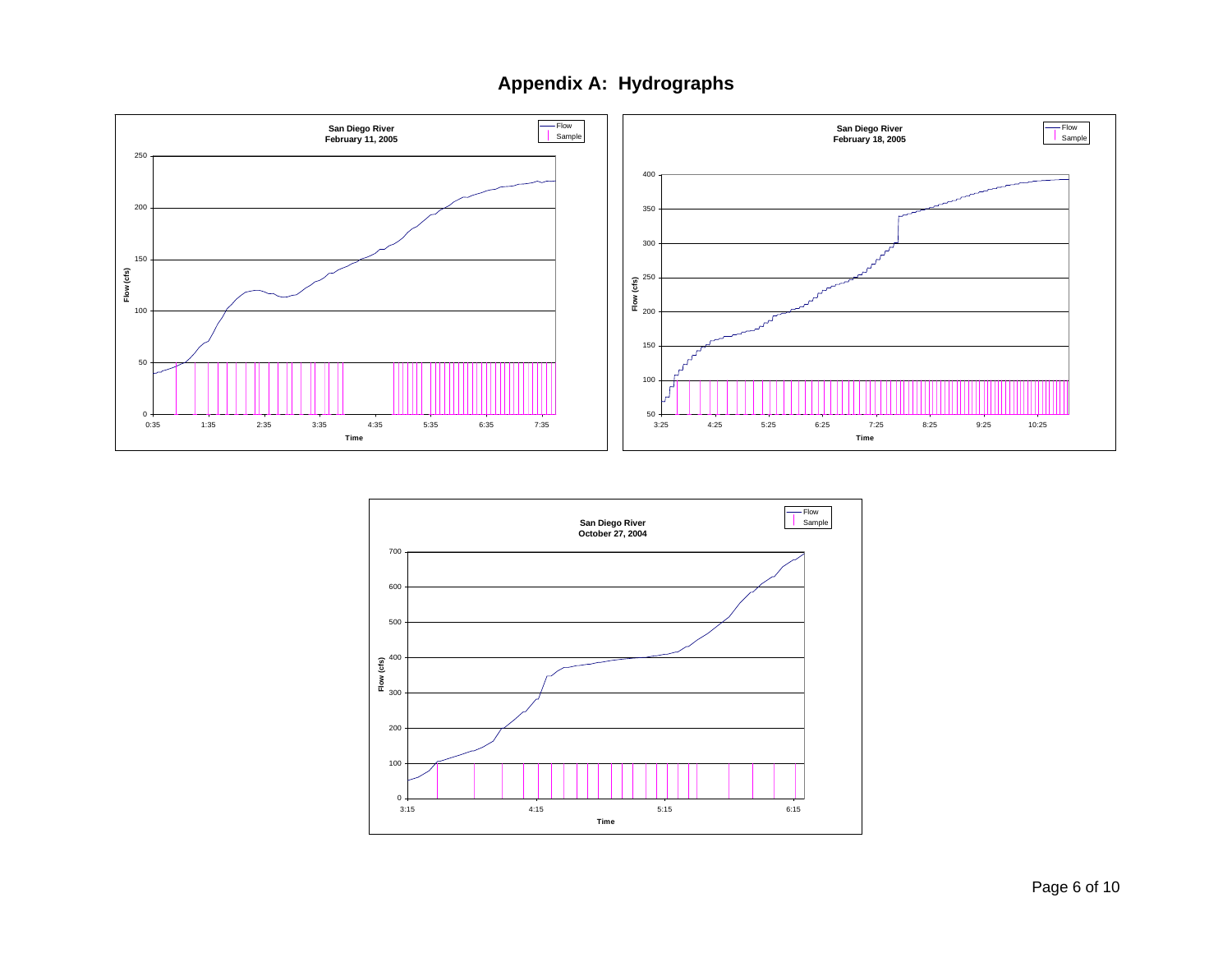

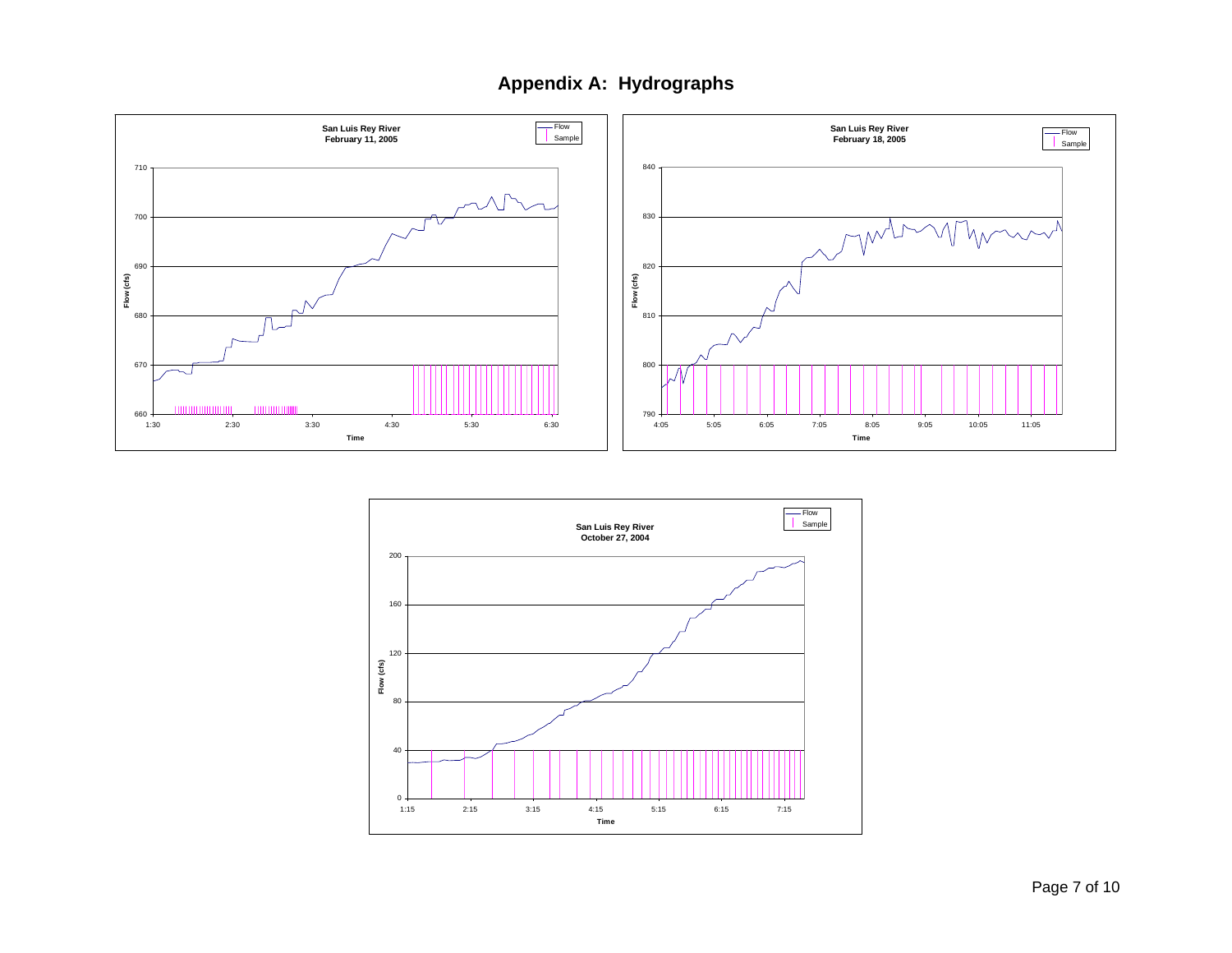

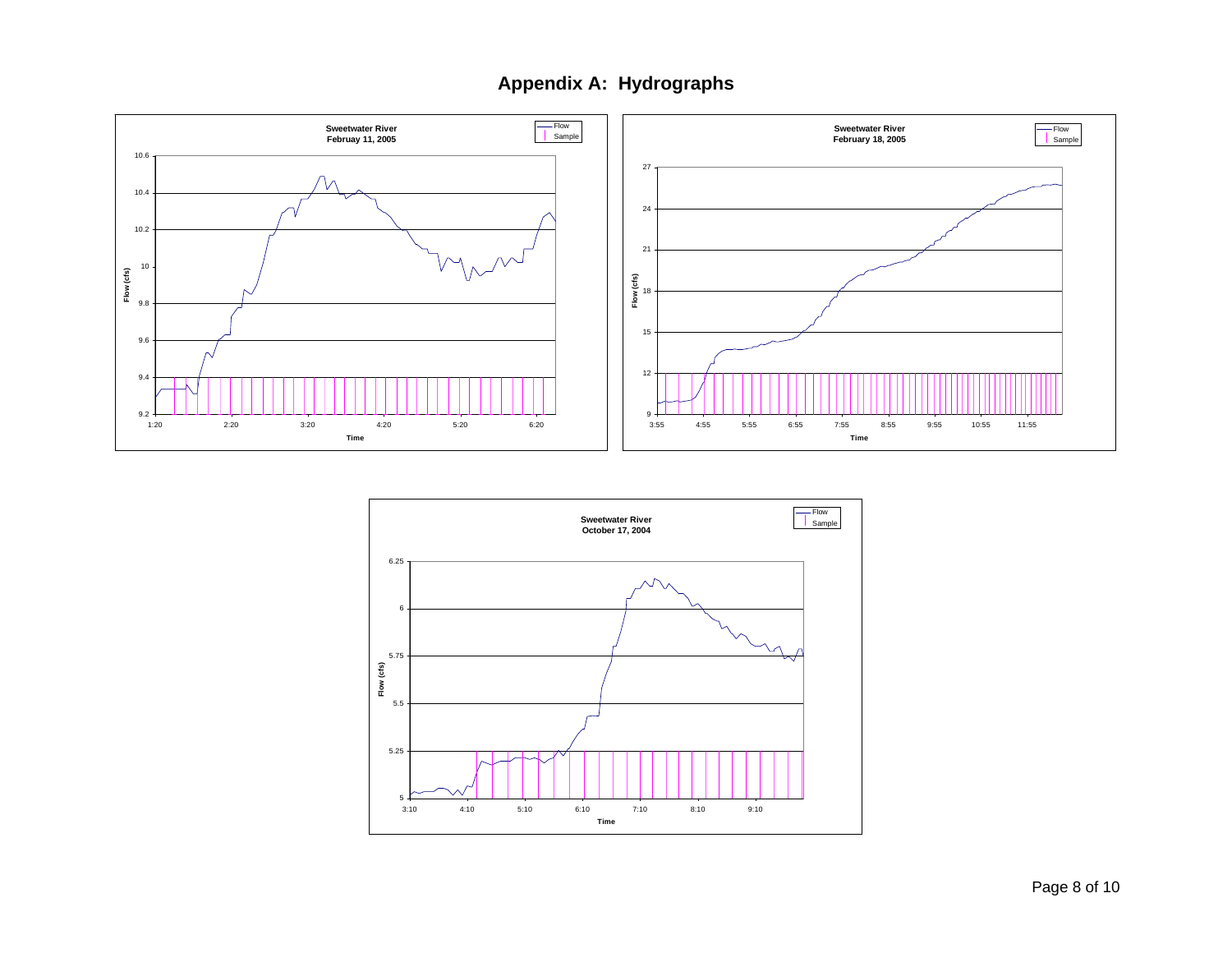

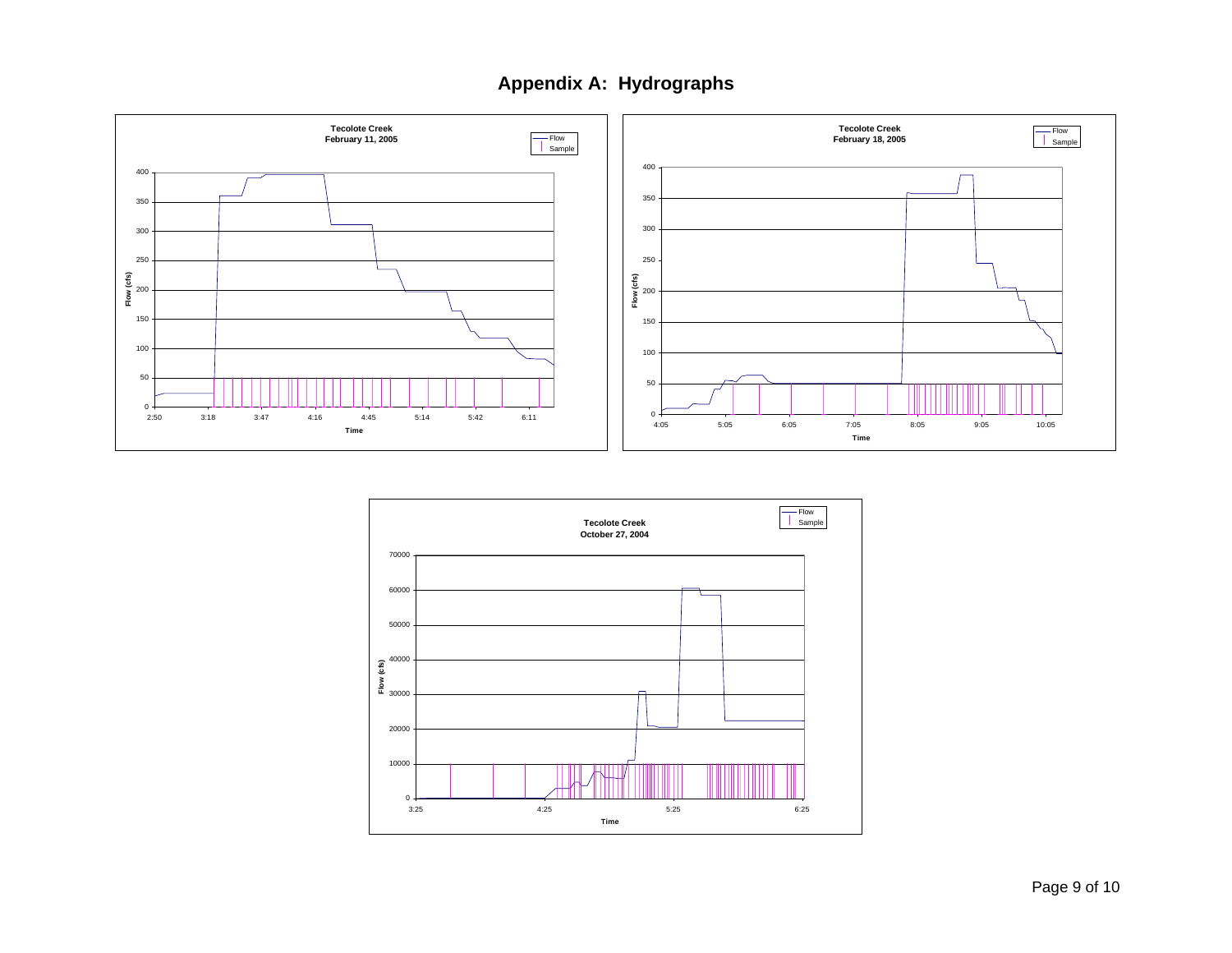